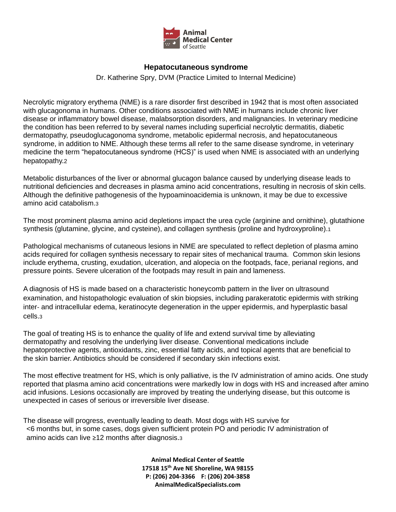

## **Hepatocutaneous syndrome**

Dr. Katherine Spry, DVM (Practice Limited to Internal Medicine)

Necrolytic migratory erythema (NME) is a rare disorder first described in 1942 that is most often associated with glucagonoma in humans. Other conditions associated with NME in humans include chronic liver disease or inflammatory bowel disease, malabsorption disorders, and malignancies. In veterinary medicine the condition has been referred to by several names including superficial necrolytic dermatitis, diabetic dermatopathy, pseudoglucagonoma syndrome, metabolic epidermal necrosis, and hepatocutaneous syndrome, in addition to NME. Although these terms all refer to the same disease syndrome, in veterinary medicine the term "hepatocutaneous syndrome (HCS)" is used when NME is associated with an underlying hepatopathy.2

Metabolic disturbances of the liver or abnormal glucagon balance caused by underlying disease leads to nutritional deficiencies and decreases in plasma amino acid concentrations, resulting in necrosis of skin cells. Although the definitive pathogenesis of the hypoaminoacidemia is unknown, it may be due to excessive amino acid catabolism.3

The most prominent plasma amino acid depletions impact the urea cycle (arginine and ornithine), glutathione synthesis (glutamine, glycine, and cysteine), and collagen synthesis (proline and hydroxyproline).1

Pathological mechanisms of cutaneous lesions in NME are speculated to reflect depletion of plasma amino acids required for collagen synthesis necessary to repair sites of mechanical trauma. Common skin lesions include erythema, crusting, exudation, ulceration, and alopecia on the footpads, face, perianal regions, and pressure points. Severe ulceration of the footpads may result in pain and lameness.

A diagnosis of HS is made based on a characteristic honeycomb pattern in the liver on ultrasound examination, and histopathologic evaluation of skin biopsies, including parakeratotic epidermis with striking inter- and intracellular edema, keratinocyte degeneration in the upper epidermis, and hyperplastic basal cells.3

The goal of treating HS is to enhance the quality of life and extend survival time by alleviating dermatopathy and resolving the underlying liver disease. Conventional medications include hepatoprotective agents, antioxidants, zinc, essential fatty acids, and topical agents that are beneficial to the skin barrier. Antibiotics should be considered if secondary skin infections exist.

The most effective treatment for HS, which is only palliative, is the IV administration of amino acids. One study reported that plasma amino acid concentrations were markedly low in dogs with HS and increased after amino acid infusions. Lesions occasionally are improved by treating the underlying disease, but this outcome is unexpected in cases of serious or irreversible liver disease.

The disease will progress, eventually leading to death. Most dogs with HS survive for <6 months but, in some cases, dogs given sufficient protein PO and periodic IV administration of amino acids can live ≥12 months after diagnosis.<sup>3</sup>

> **Animal Medical Center of Seattle 17518 15th Ave NE Shoreline, WA 98155 P: (206) 204-3366 F: (206) 204-3858 AnimalMedicalSpecialists.com**